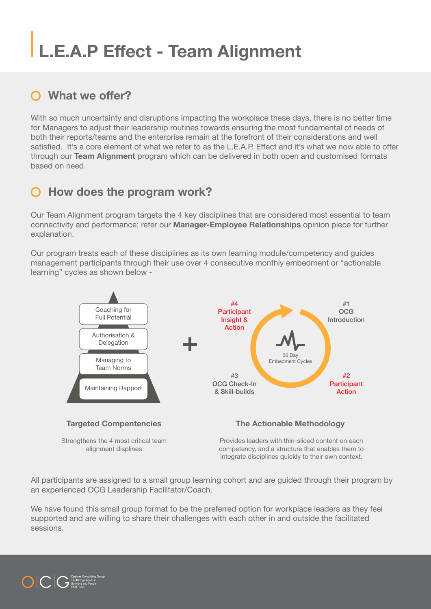## **L.E.A.P Effect - Team Alignment**

### **What we offer?**

With so much uncertainty and disruptions impacting the workplace these days, there is no better time for Managers to adjust their leadership routines towards ensuring the most fundamental of needs of both their reports/teams and the enterprise remain at the forefront of their considerations and well satisfied. It's a core element of what we refer to as the L.E.A.P. Effect and it's what we now able to offer through our **Team Alignment** program which can be delivered in both open and customised formats based on need.

#### **How does the program work?**

Our Team Alignment program targets the 4 key disciplines that are considered most essential to team connectivity and performance; refer our **Manager-Employee Relationships** opinion piece for further explanation.

Our program treats each of these disciplines as its own learning module/competency and guides management participants through their use over 4 consecutive monthly embedment or "actionable learning" cycles as shown below -



integrate disciplines quickly to their own context.

All participants are assigned to a small group learning cohort and are guided through their program by an experienced OCG Leadership Facilitator/Coach.

We have found this small group format to be the preferred option for workplace leaders as they feel supported and are willing to share their challenges with each other in and outside the facilitated sessions.